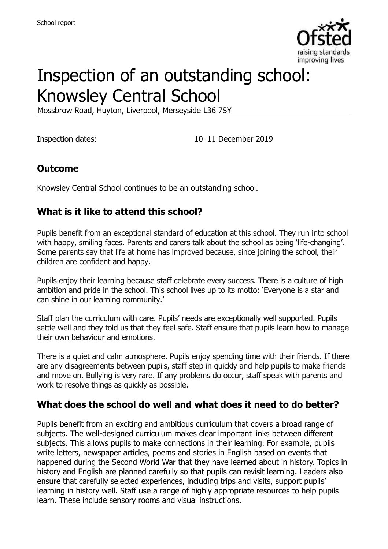

# Inspection of an outstanding school: Knowsley Central School

Mossbrow Road, Huyton, Liverpool, Merseyside L36 7SY

Inspection dates: 10–11 December 2019

### **Outcome**

Knowsley Central School continues to be an outstanding school.

### **What is it like to attend this school?**

Pupils benefit from an exceptional standard of education at this school. They run into school with happy, smiling faces. Parents and carers talk about the school as being 'life-changing'. Some parents say that life at home has improved because, since joining the school, their children are confident and happy.

Pupils enjoy their learning because staff celebrate every success. There is a culture of high ambition and pride in the school. This school lives up to its motto: 'Everyone is a star and can shine in our learning community.'

Staff plan the curriculum with care. Pupils' needs are exceptionally well supported. Pupils settle well and they told us that they feel safe. Staff ensure that pupils learn how to manage their own behaviour and emotions.

There is a quiet and calm atmosphere. Pupils enjoy spending time with their friends. If there are any disagreements between pupils, staff step in quickly and help pupils to make friends and move on. Bullying is very rare. If any problems do occur, staff speak with parents and work to resolve things as quickly as possible.

#### **What does the school do well and what does it need to do better?**

Pupils benefit from an exciting and ambitious curriculum that covers a broad range of subjects. The well-designed curriculum makes clear important links between different subjects. This allows pupils to make connections in their learning. For example, pupils write letters, newspaper articles, poems and stories in English based on events that happened during the Second World War that they have learned about in history. Topics in history and English are planned carefully so that pupils can revisit learning. Leaders also ensure that carefully selected experiences, including trips and visits, support pupils' learning in history well. Staff use a range of highly appropriate resources to help pupils learn. These include sensory rooms and visual instructions.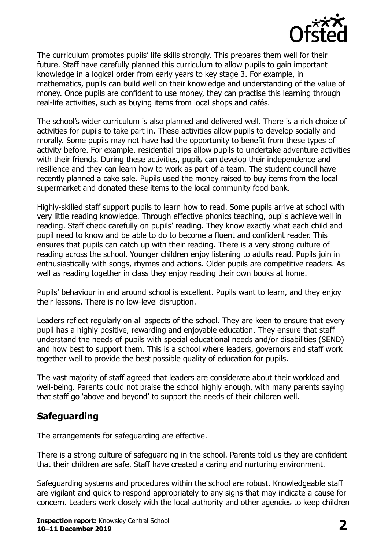

The curriculum promotes pupils' life skills strongly. This prepares them well for their future. Staff have carefully planned this curriculum to allow pupils to gain important knowledge in a logical order from early years to key stage 3. For example, in mathematics, pupils can build well on their knowledge and understanding of the value of money. Once pupils are confident to use money, they can practise this learning through real-life activities, such as buying items from local shops and cafés.

The school's wider curriculum is also planned and delivered well. There is a rich choice of activities for pupils to take part in. These activities allow pupils to develop socially and morally. Some pupils may not have had the opportunity to benefit from these types of activity before. For example, residential trips allow pupils to undertake adventure activities with their friends. During these activities, pupils can develop their independence and resilience and they can learn how to work as part of a team. The student council have recently planned a cake sale. Pupils used the money raised to buy items from the local supermarket and donated these items to the local community food bank.

Highly-skilled staff support pupils to learn how to read. Some pupils arrive at school with very little reading knowledge. Through effective phonics teaching, pupils achieve well in reading. Staff check carefully on pupils' reading. They know exactly what each child and pupil need to know and be able to do to become a fluent and confident reader. This ensures that pupils can catch up with their reading. There is a very strong culture of reading across the school. Younger children enjoy listening to adults read. Pupils join in enthusiastically with songs, rhymes and actions. Older pupils are competitive readers. As well as reading together in class they enjoy reading their own books at home.

Pupils' behaviour in and around school is excellent. Pupils want to learn, and they enjoy their lessons. There is no low-level disruption.

Leaders reflect regularly on all aspects of the school. They are keen to ensure that every pupil has a highly positive, rewarding and enjoyable education. They ensure that staff understand the needs of pupils with special educational needs and/or disabilities (SEND) and how best to support them. This is a school where leaders, governors and staff work together well to provide the best possible quality of education for pupils.

The vast majority of staff agreed that leaders are considerate about their workload and well-being. Parents could not praise the school highly enough, with many parents saying that staff go 'above and beyond' to support the needs of their children well.

# **Safeguarding**

The arrangements for safeguarding are effective.

There is a strong culture of safeguarding in the school. Parents told us they are confident that their children are safe. Staff have created a caring and nurturing environment.

Safeguarding systems and procedures within the school are robust. Knowledgeable staff are vigilant and quick to respond appropriately to any signs that may indicate a cause for concern. Leaders work closely with the local authority and other agencies to keep children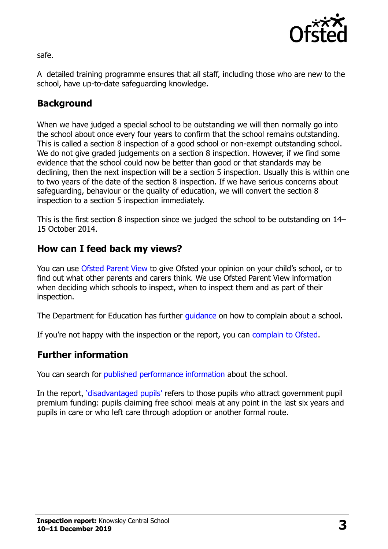

safe.

A detailed training programme ensures that all staff, including those who are new to the school, have up-to-date safeguarding knowledge.

# **Background**

When we have judged a special school to be outstanding we will then normally go into the school about once every four years to confirm that the school remains outstanding. This is called a section 8 inspection of a good school or non-exempt outstanding school. We do not give graded judgements on a section 8 inspection. However, if we find some evidence that the school could now be better than good or that standards may be declining, then the next inspection will be a section 5 inspection. Usually this is within one to two years of the date of the section 8 inspection. If we have serious concerns about safeguarding, behaviour or the quality of education, we will convert the section 8 inspection to a section 5 inspection immediately.

This is the first section 8 inspection since we judged the school to be outstanding on 14– 15 October 2014.

# **How can I feed back my views?**

You can use [Ofsted Parent View](https://parentview.ofsted.gov.uk/) to give Ofsted your opinion on your child's school, or to find out what other parents and carers think. We use Ofsted Parent View information when deciding which schools to inspect, when to inspect them and as part of their inspection.

The Department for Education has further quidance on how to complain about a school.

If you're not happy with the inspection or the report, you can [complain to Ofsted.](https://www.gov.uk/complain-ofsted-report)

#### **Further information**

You can search for [published performance information](http://www.compare-school-performance.service.gov.uk/) about the school.

In the report, '[disadvantaged pupils](http://www.gov.uk/guidance/pupil-premium-information-for-schools-and-alternative-provision-settings)' refers to those pupils who attract government pupil premium funding: pupils claiming free school meals at any point in the last six years and pupils in care or who left care through adoption or another formal route.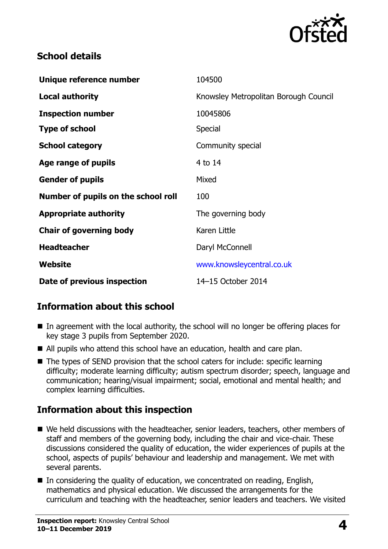

### **School details**

| 104500                                |
|---------------------------------------|
| Knowsley Metropolitan Borough Council |
| 10045806                              |
| <b>Special</b>                        |
| Community special                     |
| 4 to 14                               |
| Mixed                                 |
| 100                                   |
| The governing body                    |
| Karen Little                          |
| Daryl McConnell                       |
| www.knowsleycentral.co.uk             |
| 14-15 October 2014                    |
|                                       |

# **Information about this school**

- In agreement with the local authority, the school will no longer be offering places for key stage 3 pupils from September 2020.
- All pupils who attend this school have an education, health and care plan.
- The types of SEND provision that the school caters for include: specific learning difficulty; moderate learning difficulty; autism spectrum disorder; speech, language and communication; hearing/visual impairment; social, emotional and mental health; and complex learning difficulties.

# **Information about this inspection**

- We held discussions with the headteacher, senior leaders, teachers, other members of staff and members of the governing body, including the chair and vice-chair. These discussions considered the quality of education, the wider experiences of pupils at the school, aspects of pupils' behaviour and leadership and management. We met with several parents.
- In considering the quality of education, we concentrated on reading, English, mathematics and physical education. We discussed the arrangements for the curriculum and teaching with the headteacher, senior leaders and teachers. We visited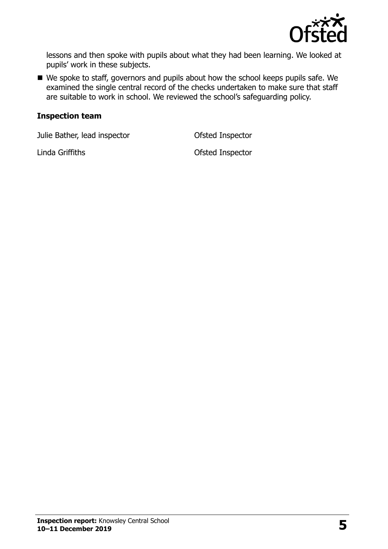

lessons and then spoke with pupils about what they had been learning. We looked at pupils' work in these subjects.

We spoke to staff, governors and pupils about how the school keeps pupils safe. We examined the single central record of the checks undertaken to make sure that staff are suitable to work in school. We reviewed the school's safeguarding policy.

#### **Inspection team**

Julie Bather, lead inspector Ofsted Inspector

Linda Griffiths Ofsted Inspector